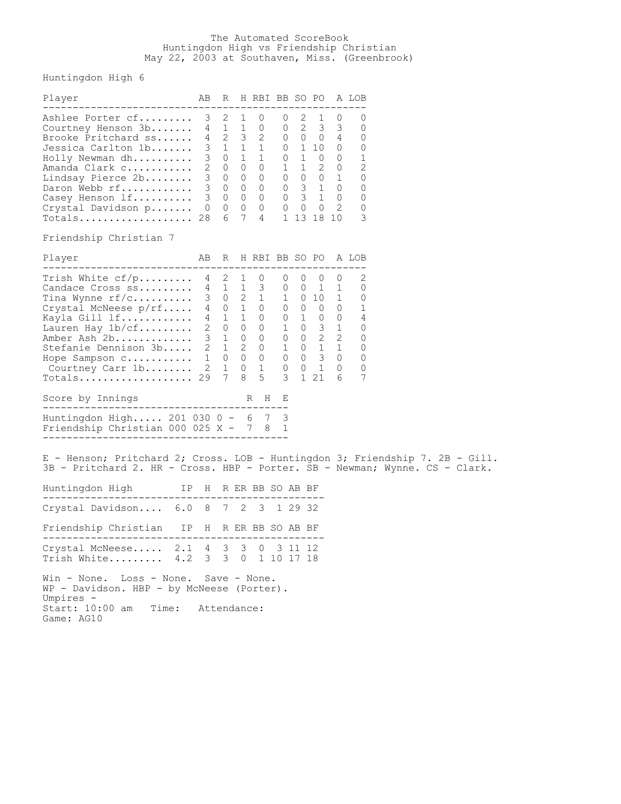## The Automated ScoreBook Huntingdon High vs Friendship Christian May 22, 2003 at Southaven, Miss. (Greenbrook)

Huntingdon High 6

| Player                                                                                                                                                                                                                                                                                                                                                                                                       | AB |             | R H RBI BB SO PO A LOB                 |         |  |               |  |  |
|--------------------------------------------------------------------------------------------------------------------------------------------------------------------------------------------------------------------------------------------------------------------------------------------------------------------------------------------------------------------------------------------------------------|----|-------------|----------------------------------------|---------|--|---------------|--|--|
| Ashlee Porter cf<br>Courtney Henson 3b<br>Courtney Henson 3D 4 1 1 0 0 2 3 3 0<br>Brooke Pritchard ss 4 2 3 2 0 0 0 4 0<br>Jessica Carlton 1b 3 1 1 1 0 1 10 0 0<br>Holly Newman dh 3 0 1 1 0 1 0 0 1<br>Amanda Clark c 2 0 0 0 0 1 1 2<br>Totals 28 6 7 4 1 13 18 10                                                                                                                                        | 3  |             | $2 \quad 1 \quad 0$<br>4 1 1 0 0 2 3 3 | 0 2 1 0 |  | 0<br>- 0<br>3 |  |  |
| Friendship Christian 7<br>Player                                                                                                                                                                                                                                                                                                                                                                             | AB |             | R H RBI BB SO PO A LOB                 |         |  |               |  |  |
| Trish White $cf/p$ 4 2 1 0 0 0 0 0 2<br>Trish White Cryp 4 2 1 0 0 0 0 0 2<br>Candace Cross ss 4 1 1 3 0 0 1 1 0<br>Tina Wynne rf/c 3 0 2 1 1 0 10 1 0<br>Crystal McNeese p/rf 4 0 1 0 0 0 0 0 0 1<br>Kayla Gill lf 4 1 1 0 0 1 0 0<br>Totals 29 7 8 5 3 1 21 6<br>Score by Innings<br>--------------------------------------<br>Huntingdon High 201 030 0 - 6 7 3<br>Friendship Christian 000 025 X - 7 8 1 |    |             | $R$ H E                                |         |  | 7             |  |  |
|                                                                                                                                                                                                                                                                                                                                                                                                              |    |             |                                        |         |  |               |  |  |
| E - Henson; Pritchard 2; Cross. LOB - Huntingdon 3; Friendship 7. 2B - Gill.<br>3B - Pritchard 2. HR - Cross. HBP - Porter. SB - Newman; Wynne. CS - Clark.                                                                                                                                                                                                                                                  |    |             |                                        |         |  |               |  |  |
| Huntingdon High IP H R ER BB SO AB BF                                                                                                                                                                                                                                                                                                                                                                        |    |             |                                        |         |  |               |  |  |
| Crystal Davidson 6.0 8 7 2 3 1 29 32                                                                                                                                                                                                                                                                                                                                                                         |    |             |                                        |         |  |               |  |  |
| Friendship Christian IP H R ER BB SO AB BF                                                                                                                                                                                                                                                                                                                                                                   |    |             |                                        |         |  |               |  |  |
| Crystal McNeese 2.1 4 3 3 0 3 11 12<br>Trish White 4.2 3 3 0 1 10 17 18                                                                                                                                                                                                                                                                                                                                      |    |             |                                        |         |  |               |  |  |
| Win - None. Loss - None. Save - None.<br>WP - Davidson. HBP - by McNeese (Porter).<br>Umpires -<br>Start: 10:00 am<br>Time:<br>Game: AG10                                                                                                                                                                                                                                                                    |    | Attendance: |                                        |         |  |               |  |  |